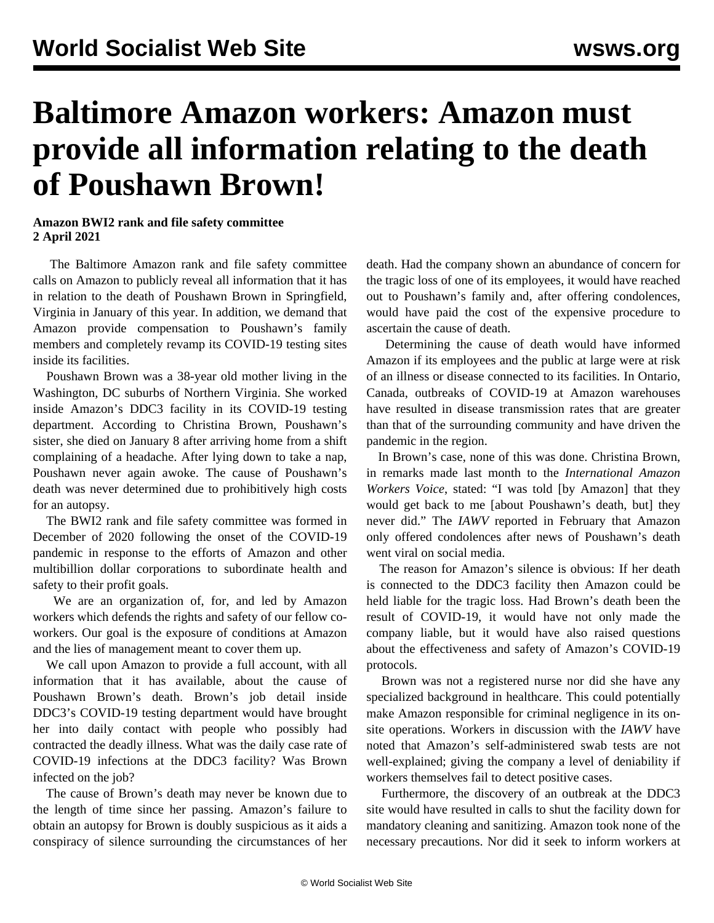## **Baltimore Amazon workers: Amazon must provide all information relating to the death of Poushawn Brown!**

## **Amazon BWI2 rank and file safety committee 2 April 2021**

 The Baltimore Amazon rank and file safety committee calls on Amazon to publicly reveal all information that it has in relation to the death of [Poushawn Brown](/en/articles/2021/02/04/amaz-f04.html) in Springfield, Virginia in January of this year. In addition, we demand that Amazon provide compensation to Poushawn's family members and completely revamp its COVID-19 testing sites inside its facilities.

 Poushawn Brown was a 38-year old mother living in the Washington, DC suburbs of Northern Virginia. She worked inside Amazon's DDC3 facility in its COVID-19 testing department. According to [Christina Brown,](/en/articles/2021/02/10/amaz-f10.html) Poushawn's sister, she died on January 8 after arriving home from a shift complaining of a headache. After lying down to take a nap, Poushawn never again awoke. The cause of Poushawn's death was never determined due to prohibitively high costs for an autopsy.

 The [BWI2 rank and file safety committee](/en/articles/2020/12/14/bwi2-d14.html) was formed in December of 2020 following the onset of the COVID-19 pandemic in response to the efforts of Amazon and other multibillion dollar corporations to subordinate health and safety to their profit goals.

 We are an organization of, for, and led by Amazon workers which defends the rights and safety of our fellow coworkers. Our goal is the exposure of conditions at Amazon and the lies of management meant to cover them up.

 We call upon Amazon to provide a full account, with all information that it has available, about the cause of Poushawn Brown's death. Brown's job detail inside DDC3's COVID-19 testing department would have brought her into daily contact with people who possibly had contracted the deadly illness. What was the daily case rate of COVID-19 infections at the DDC3 facility? Was Brown infected on the job?

 The cause of Brown's death may never be known due to the length of time since her passing. Amazon's failure to obtain an autopsy for Brown is doubly suspicious as it aids a conspiracy of silence surrounding the circumstances of her death. Had the company shown an abundance of concern for the tragic loss of one of its employees, it would have reached out to Poushawn's family and, after offering condolences, would have paid the cost of the expensive procedure to ascertain the cause of death.

 Determining the cause of death would have informed Amazon if its employees and the public at large were at risk of an illness or disease connected to its facilities. In Ontario, Canada, outbreaks of COVID-19 at Amazon warehouses have resulted in disease transmission rates that are [greater](/en/articles/2021/03/15/onta-m15.html) [than that of the surrounding community](/en/articles/2021/03/15/onta-m15.html) and have driven the pandemic in the region.

 In Brown's case, none of this was done. Christina Brown, in remarks made last month to the *International Amazon Workers Voice*, stated: "I was told [by Amazon] that they would get back to me [about Poushawn's death, but] they never did." The *IAWV* reported in February that Amazon only offered condolences after news of Poushawn's death went viral on social media.

 The reason for Amazon's silence is obvious: If her death is connected to the DDC3 facility then Amazon could be held liable for the tragic loss. Had Brown's death been the result of COVID-19, it would have not only made the company liable, but it would have also raised questions about the effectiveness and safety of Amazon's COVID-19 protocols.

 Brown was not a registered nurse nor did she have any specialized background in healthcare. This could potentially make Amazon responsible for criminal negligence in its onsite operations. Workers in discussion with the *IAWV* have noted that Amazon's self-administered swab tests are not well-explained; giving the company a level of deniability if workers themselves fail to detect positive cases.

 Furthermore, the discovery of an outbreak at the DDC3 site would have resulted in calls to shut the facility down for mandatory cleaning and sanitizing. Amazon took none of the necessary precautions. Nor did it seek to inform workers at